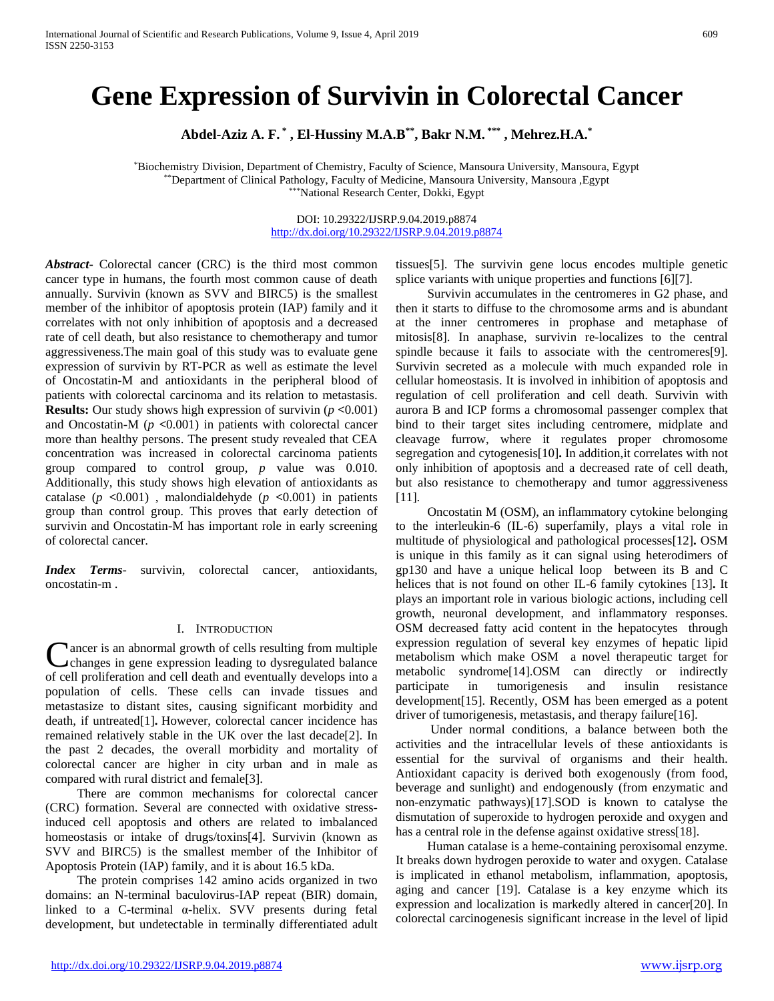# **Gene Expression of Survivin in Colorectal Cancer**

**Abdel-Aziz A. F. \* , El-Hussiny M.A.B\*\*, Bakr N.M. \*\*\* , Mehrez.H.A.\***

\*Biochemistry Division, Department of Chemistry, Faculty of Science, Mansoura University, Mansoura, Egypt \*\*Department of Clinical Pathology, Faculty of Medicine, Mansoura University, Mansoura ,Egypt \*\*\*National Research Center, Dokki, Egypt

> DOI: 10.29322/IJSRP.9.04.2019.p8874 [http://dx.doi.org/10.29322/IJSRP.9.04.2019.p8874](http://dx.doi.org/10.29322/IJSRP.9.03.2019.p8874)

*Abstract***-** Colorectal cancer (CRC) is the third most common cancer type in humans, the fourth most common cause of death annually. Survivin (known as SVV and BIRC5) is the smallest member of the inhibitor of apoptosis protein (IAP) family and it correlates with not only inhibition of apoptosis and a decreased rate of cell death, but also resistance to chemotherapy and tumor aggressiveness.The main goal of this study was to evaluate gene expression of survivin by RT-PCR as well as estimate the level of Oncostatin-M and antioxidants in the peripheral blood of patients with colorectal carcinoma and its relation to metastasis. **Results:** Our study shows high expression of survivin (*p* **<**0.001) and Oncostatin-M (*p* **<**0.001) in patients with colorectal cancer more than healthy persons. The present study revealed that CEA concentration was increased in colorectal carcinoma patients group compared to control group, *p* value was 0.010. Additionally, this study shows high elevation of antioxidants as catalase ( $p \le 0.001$ ), malondialdehyde ( $p \le 0.001$ ) in patients group than control group. This proves that early detection of survivin and Oncostatin-M has important role in early screening of colorectal cancer.

*Index Terms*- survivin, colorectal cancer, antioxidants, oncostatin-m .

# I. INTRODUCTION

ancer is an abnormal growth of cells resulting from multiple changes in gene expression leading to dysregulated balance Cancer is an abnormal growth of cells resulting from multiple<br>changes in gene expression leading to dysregulated balance<br>of cell proliferation and cell death and eventually develops into a population of cells. These cells can invade tissues and metastasize to distant sites, causing significant morbidity and death, if untreated[1]**.** However, colorectal cancer incidence has remained relatively stable in the UK over the last decade[2]. In the past 2 decades, the overall morbidity and mortality of colorectal cancer are higher in city urban and in male as compared with rural district and female[3].

 There are common mechanisms for colorectal cancer (CRC) formation. Several are connected with oxidative stressinduced cell apoptosis and others are related to imbalanced homeostasis or intake of drugs/toxins[4]. Survivin (known as SVV and BIRC5) is the smallest member of the Inhibitor of Apoptosis Protein (IAP) family, and it is about 16.5 kDa.

 The protein comprises 142 amino acids organized in two domains: an N-terminal baculovirus-IAP repeat (BIR) domain, linked to a C-terminal α-helix. SVV presents during fetal development, but undetectable in terminally differentiated adult tissues[5]. The survivin gene locus encodes multiple genetic splice variants with unique properties and functions [6][7].

 Survivin accumulates in the centromeres in G2 phase, and then it starts to diffuse to the chromosome arms and is abundant at the inner centromeres in prophase and metaphase of mitosis[8]. In anaphase, survivin re-localizes to the central spindle because it fails to associate with the centromeres[9]. Survivin secreted as a molecule with much expanded role in cellular homeostasis. It is involved in inhibition of apoptosis and regulation of cell proliferation and cell death. Survivin with aurora B and ICP forms a chromosomal passenger complex that bind to their target sites including centromere, midplate and cleavage furrow, where it regulates proper chromosome segregation and cytogenesis[10]**.** In addition,it correlates with not only inhibition of apoptosis and a decreased rate of cell death, but also resistance to chemotherapy and tumor aggressiveness [11].

 Oncostatin M (OSM), an inflammatory cytokine belonging to the interleukin-6 (IL-6) superfamily, plays a vital role in multitude of physiological and pathological processes[12]**.** OSM is unique in this family as it can signal using heterodimers of gp130 and have a unique helical loop between its B and C helices that is not found on other IL-6 family cytokines [13]**.** It plays an important role in various biologic actions, including cell growth, neuronal development, and inflammatory responses. OSM decreased fatty acid content in the hepatocytes through expression regulation of several key enzymes of hepatic lipid metabolism which make OSM a novel therapeutic target for metabolic syndrome[14].OSM can directly or indirectly participate in tumorigenesis and insulin resistance development[15]. Recently, OSM has been emerged as a potent driver of tumorigenesis, metastasis, and therapy failure[16].

 Under normal conditions, a balance between both the activities and the intracellular levels of these antioxidants is essential for the survival of organisms and their health. Antioxidant capacity is derived both exogenously (from food, beverage and sunlight) and endogenously (from enzymatic and non-enzymatic pathways)[17].SOD is known to catalyse the dismutation of superoxide to hydrogen peroxide and oxygen and has a central role in the defense against oxidative stress[18].

 Human catalase is a heme-containing peroxisomal enzyme. It breaks down hydrogen peroxide to water and oxygen. Catalase is implicated in ethanol metabolism, inflammation, apoptosis, aging and cancer [19]. Catalase is a key enzyme which its expression and localization is markedly altered in cancer[20]. In colorectal carcinogenesis significant increase in the level of lipid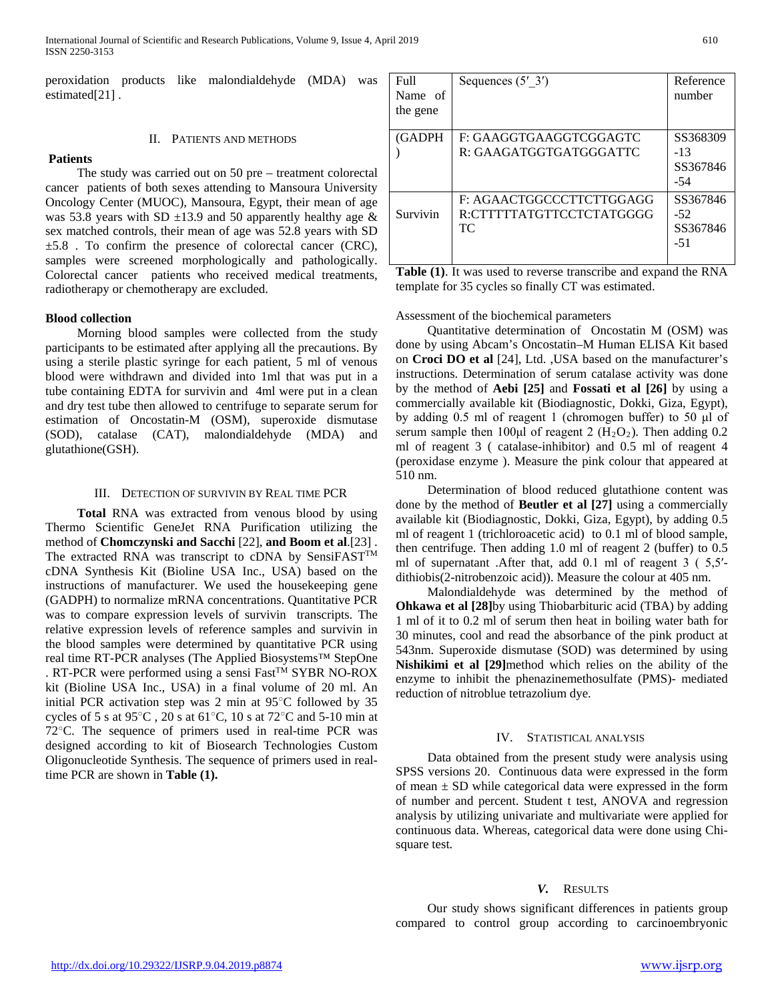peroxidation products like malondialdehyde (MDA) was estimated<sup>[21]</sup>.

#### II. PATIENTS AND METHODS

#### **Patients**

 The study was carried out on 50 pre – treatment colorectal cancer patients of both sexes attending to Mansoura University Oncology Center (MUOC), Mansoura, Egypt, their mean of age was 53.8 years with SD  $\pm$ 13.9 and 50 apparently healthy age & sex matched controls, their mean of age was 52.8 years with SD  $\pm 5.8$ . To confirm the presence of colorectal cancer (CRC), samples were screened morphologically and pathologically. Colorectal cancer patients who received medical treatments, radiotherapy or chemotherapy are excluded.

## **Blood collection**

 Morning blood samples were collected from the study participants to be estimated after applying all the precautions. By using a sterile plastic syringe for each patient, 5 ml of venous blood were withdrawn and divided into 1ml that was put in a tube containing EDTA for survivin and 4ml were put in a clean and dry test tube then allowed to centrifuge to separate serum for estimation of Oncostatin-M (OSM), superoxide dismutase (SOD), catalase (CAT), malondialdehyde (MDA) and glutathione(GSH).

# III. DETECTION OF SURVIVIN BY REAL TIME PCR

 **Total** RNA was extracted from venous blood by using Thermo Scientific GeneJet RNA Purification utilizing the method of **Chomczynski and Sacchi** [22], **and Boom et al**.[23] . The extracted RNA was transcript to cDNA by SensiFAST<sup>TM</sup> cDNA Synthesis Kit (Bioline USA Inc., USA) based on the instructions of manufacturer. We used the housekeeping gene (GADPH) to normalize mRNA concentrations. Quantitative PCR was to compare expression levels of survivin transcripts. The relative expression levels of reference samples and survivin in the blood samples were determined by quantitative PCR using real time RT-PCR analyses (The Applied Biosystems™ StepOne . RT-PCR were performed using a sensi Fast<sup>TM</sup> SYBR NO-ROX kit (Bioline USA Inc., USA) in a final volume of 20 ml. An initial PCR activation step was 2 min at 95○C followed by 35 cycles of 5 s at  $95^{\circ}$ C, 20 s at  $61^{\circ}$ C, 10 s at  $72^{\circ}$ C and 5-10 min at  $72^{\circ}$ C. The sequence of primers used in real-time PCR was designed according to kit of Biosearch Technologies Custom Oligonucleotide Synthesis. The sequence of primers used in realtime PCR are shown in **Table (1).**

| Full<br>Name of<br>the gene | Sequences $(5' 3')$                                         | Reference<br>number                    |
|-----------------------------|-------------------------------------------------------------|----------------------------------------|
| (GADPH                      | F: GAAGGTGAAGGTCGGAGTC<br>R: GAAGATGGTGATGGGATTC            | SS368309<br>$-13$<br>SS367846<br>-54   |
| Survivin                    | F: AGAACTGGCCCTTCTTGGAGG<br>R:CTTTTTATGTTCCTCTATGGGG<br>TC. | SS367846<br>$-52$<br>SS367846<br>$-51$ |

**Table (1)**. It was used to reverse transcribe and expand the RNA template for 35 cycles so finally CT was estimated.

#### Assessment of the biochemical parameters

 Quantitative determination of Oncostatin M (OSM) was done by using Abcam's Oncostatin–M Human ELISA Kit based on **Croci DO et al** [24], Ltd. ,USA based on the manufacturer's instructions. Determination of serum catalase activity was done by the method of **Aebi [25]** and **Fossati et al [26]** by using a commercially available kit (Biodiagnostic, Dokki, Giza, Egypt), by adding 0.5 ml of reagent 1 (chromogen buffer) to 50 μl of serum sample then 100 $\mu$ l of reagent 2 (H<sub>2</sub>O<sub>2</sub>). Then adding 0.2 ml of reagent 3 ( catalase-inhibitor) and 0.5 ml of reagent 4 (peroxidase enzyme ). Measure the pink colour that appeared at 510 nm.

 Determination of blood reduced glutathione content was done by the method of **Beutler et al [27]** using a commercially available kit (Biodiagnostic, Dokki, Giza, Egypt), by adding 0.5 ml of reagent 1 (trichloroacetic acid) to 0.1 ml of blood sample, then centrifuge. Then adding 1.0 ml of reagent 2 (buffer) to 0.5 ml of supernatant .After that, add 0.1 ml of reagent 3 ( 5,5′ dithiobis(2-nitrobenzoic acid)). Measure the colour at 405 nm.

 Malondialdehyde was determined by the method of **Ohkawa et al [28]**by using Thiobarbituric acid (TBA) by adding 1 ml of it to 0.2 ml of serum then heat in boiling water bath for 30 minutes, cool and read the absorbance of the pink product at 543nm. Superoxide dismutase (SOD) was determined by using **Nishikimi et al [29]**method which relies on the ability of the enzyme to inhibit the phenazinemethosulfate (PMS)- mediated reduction of nitroblue tetrazolium dye.

# IV. STATISTICAL ANALYSIS

 Data obtained from the present study were analysis using SPSS versions 20. Continuous data were expressed in the form of mean  $\pm$  SD while categorical data were expressed in the form of number and percent. Student t test, ANOVA and regression analysis by utilizing univariate and multivariate were applied for continuous data. Whereas, categorical data were done using Chisquare test.

#### *V.* RESULTS

 Our study shows significant differences in patients group compared to control group according to carcinoembryonic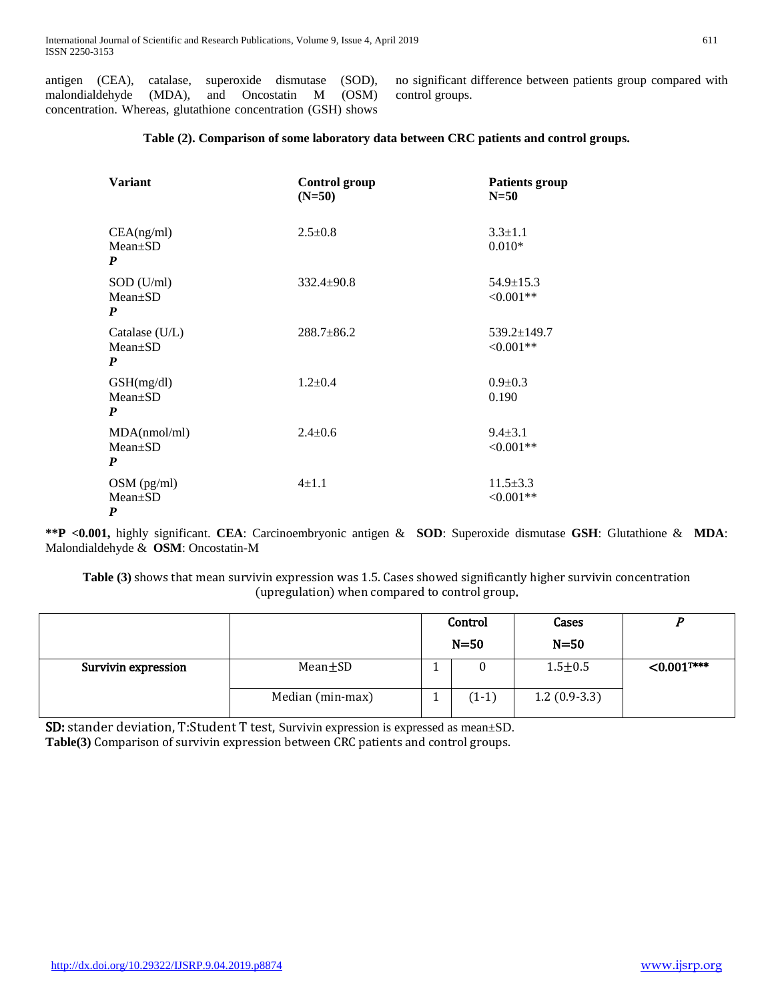antigen (CEA), catalase, superoxide dismutase (SOD), malondialdehyde (MDA), and Oncostatin M (OSM) concentration. Whereas, glutathione concentration (GSH) shows no significant difference between patients group compared with control groups.

# **Table (2). Comparison of some laboratory data between CRC patients and control groups.**

| <b>Variant</b>                                  | <b>Control group</b><br>$(N=50)$ | <b>Patients group</b><br>$N = 50$ |
|-------------------------------------------------|----------------------------------|-----------------------------------|
| CEA(ng/ml)<br>Mean±SD<br>P                      | $2.5 \pm 0.8$                    | $3.3 \pm 1.1$<br>$0.010*$         |
| $SOD$ (U/ml)<br>$Mean \pm SD$<br>P              | $332.4 \pm 90.8$                 | $54.9 \pm 15.3$<br>$<0.001**$     |
| Catalase $(U/L)$<br>$Mean \pm SD$<br>P          | $288.7 \pm 86.2$                 | $539.2 \pm 149.7$<br>$<0.001**$   |
| GSH(mg/dl)<br>$Mean \pm SD$<br>$\boldsymbol{P}$ | $1.2 \pm 0.4$                    | $0.9 \pm 0.3$<br>0.190            |
| MDA(nmol/ml)<br>Mean±SD<br>P                    | $2.4 \pm 0.6$                    | $9.4 \pm 3.1$<br>$<0.001**$       |
| $OSM$ (pg/ml)<br>Mean±SD<br>P                   | $4 \pm 1.1$                      | $11.5 \pm 3.3$<br>$<0.001**$      |

**\*\*P <0.001,** highly significant. **CEA**: Carcinoembryonic antigen & **SOD**: Superoxide dismutase **GSH**: Glutathione & **MDA**: Malondialdehyde & **OSM**: Oncostatin-M

**Table (3)** shows that mean survivin expression was 1.5. Cases showed significantly higher survivin concentration (upregulation) when compared to control group.

|                     |                  | Control<br>Cases<br>$N = 50$<br>$N=50$ |                |                           |
|---------------------|------------------|----------------------------------------|----------------|---------------------------|
| Survivin expression | $Mean \pm SD$    |                                        | $1.5 + 0.5$    | $< 0.001$ <sup>T***</sup> |
|                     | Median (min-max) | $(1-1)$                                | $1.2(0.9-3.3)$ |                           |

SD: stander deviation, T:Student T test, Survivin expression is expressed as mean±SD. **Table(3)** Comparison of survivin expression between CRC patients and control groups.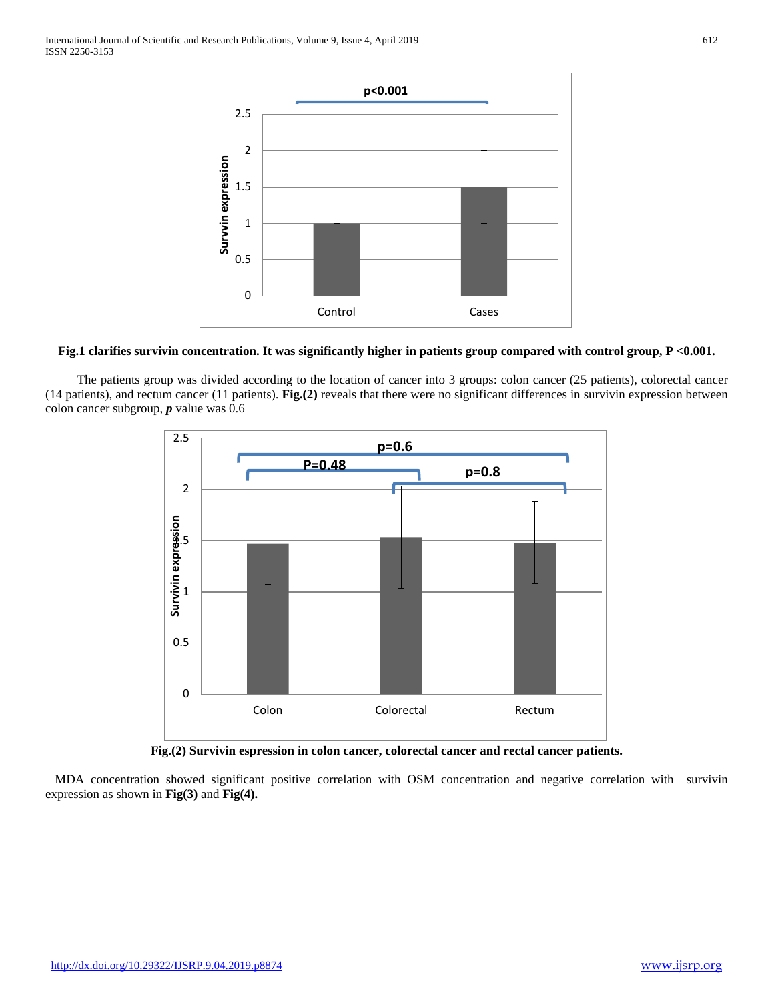

# **Fig.1 clarifies survivin concentration. It was significantly higher in patients group compared with control group, P <0.001.**

 The patients group was divided according to the location of cancer into 3 groups: colon cancer (25 patients), colorectal cancer (14 patients), and rectum cancer (11 patients). **Fig.(2)** reveals that there were no significant differences in survivin expression between colon cancer subgroup, *p* value was 0.6



**Fig.(2) Survivin espression in colon cancer, colorectal cancer and rectal cancer patients.**

 MDA concentration showed significant positive correlation with OSM concentration and negative correlation with survivin expression as shown in **Fig(3)** and **Fig(4).**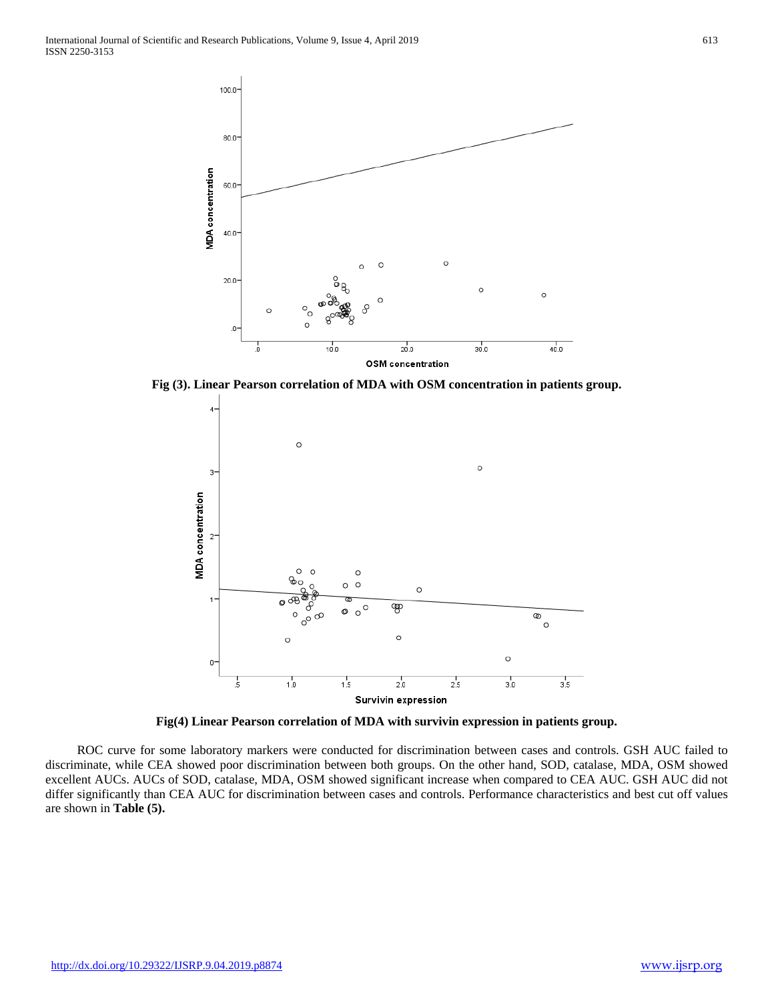

**Fig (3). Linear Pearson correlation of MDA with OSM concentration in patients group.**



**Fig(4) Linear Pearson correlation of MDA with survivin expression in patients group.**

 ROC curve for some laboratory markers were conducted for discrimination between cases and controls. GSH AUC failed to discriminate, while CEA showed poor discrimination between both groups. On the other hand, SOD, catalase, MDA, OSM showed excellent AUCs. AUCs of SOD, catalase, MDA, OSM showed significant increase when compared to CEA AUC. GSH AUC did not differ significantly than CEA AUC for discrimination between cases and controls. Performance characteristics and best cut off values are shown in **Table (5).**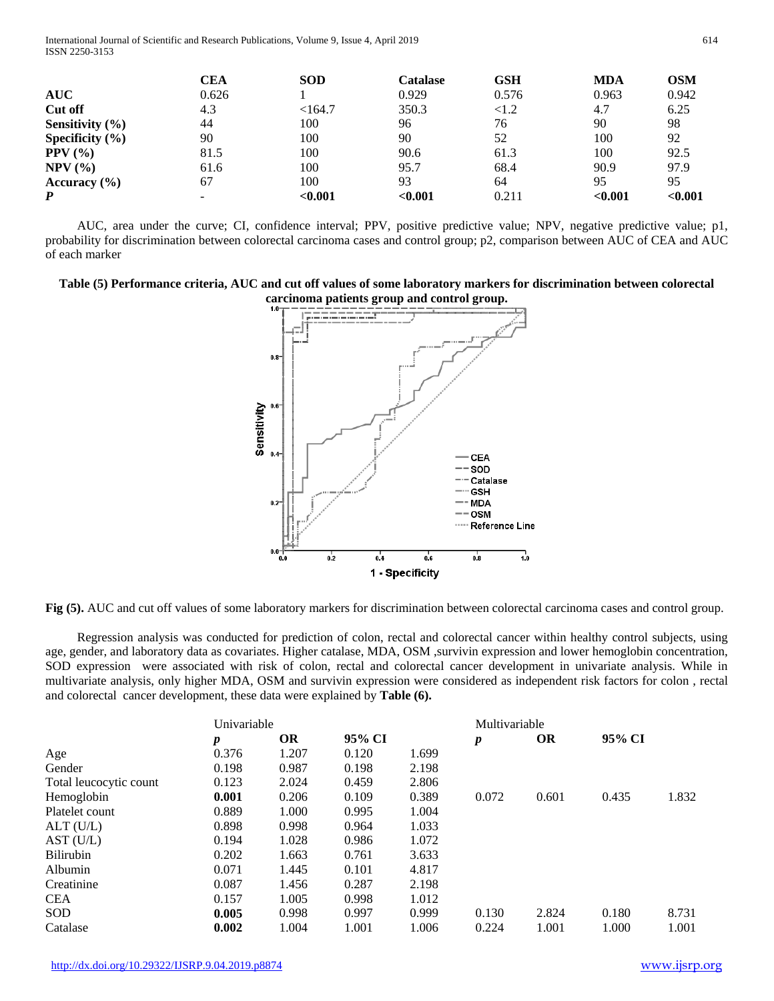International Journal of Scientific and Research Publications, Volume 9, Issue 4, April 2019 614 ISSN 2250-3153

|                     | CEA   | <b>SOD</b> | Catalase | <b>GSH</b> | <b>MDA</b> | OSM     |
|---------------------|-------|------------|----------|------------|------------|---------|
| <b>AUC</b>          | 0.626 |            | 0.929    | 0.576      | 0.963      | 0.942   |
| Cut off             | 4.3   | $<$ 164.7  | 350.3    | ${<}1.2$   | 4.7        | 6.25    |
| Sensitivity $(\% )$ | 44    | 100        | 96       | 76         | 90         | 98      |
| Specificity $(\% )$ | 90    | 100        | 90       | 52         | 100        | 92      |
| PPV $(%$            | 81.5  | 100        | 90.6     | 61.3       | 100        | 92.5    |
| $NPV$ $(\% )$       | 61.6  | 100        | 95.7     | 68.4       | 90.9       | 97.9    |
| Accuracy $(\% )$    | 67    | 100        | 93       | 64         | 95         | 95      |
| P                   |       | < 0.001    | < 0.001  | 0.211      | < 0.001    | < 0.001 |

 AUC, area under the curve; CI, confidence interval; PPV, positive predictive value; NPV, negative predictive value; p1, probability for discrimination between colorectal carcinoma cases and control group; p2, comparison between AUC of CEA and AUC of each marker

**Table (5) Performance criteria, AUC and cut off values of some laboratory markers for discrimination between colorectal carcinoma patients group and control group.**



**Fig (5).** AUC and cut off values of some laboratory markers for discrimination between colorectal carcinoma cases and control group.

 Regression analysis was conducted for prediction of colon, rectal and colorectal cancer within healthy control subjects, using age, gender, and laboratory data as covariates. Higher catalase, MDA, OSM ,survivin expression and lower hemoglobin concentration, SOD expression were associated with risk of colon, rectal and colorectal cancer development in univariate analysis. While in multivariate analysis, only higher MDA, OSM and survivin expression were considered as independent risk factors for colon , rectal and colorectal cancer development, these data were explained by **Table (6).**

|                        | Univariable      |       |        | Multivariable |                  |           |        |       |
|------------------------|------------------|-------|--------|---------------|------------------|-----------|--------|-------|
|                        | $\boldsymbol{p}$ | OR    | 95% CI |               | $\boldsymbol{p}$ | <b>OR</b> | 95% CI |       |
| Age                    | 0.376            | 1.207 | 0.120  | 1.699         |                  |           |        |       |
| Gender                 | 0.198            | 0.987 | 0.198  | 2.198         |                  |           |        |       |
| Total leucocytic count | 0.123            | 2.024 | 0.459  | 2.806         |                  |           |        |       |
| Hemoglobin             | 0.001            | 0.206 | 0.109  | 0.389         | 0.072            | 0.601     | 0.435  | 1.832 |
| Platelet count         | 0.889            | 1.000 | 0.995  | 1.004         |                  |           |        |       |
| ALT(U/L)               | 0.898            | 0.998 | 0.964  | 1.033         |                  |           |        |       |
| AST(U/L)               | 0.194            | 1.028 | 0.986  | 1.072         |                  |           |        |       |
| Bilirubin              | 0.202            | 1.663 | 0.761  | 3.633         |                  |           |        |       |
| Albumin                | 0.071            | 1.445 | 0.101  | 4.817         |                  |           |        |       |
| Creatinine             | 0.087            | 1.456 | 0.287  | 2.198         |                  |           |        |       |
| <b>CEA</b>             | 0.157            | 1.005 | 0.998  | 1.012         |                  |           |        |       |
| SOD                    | 0.005            | 0.998 | 0.997  | 0.999         | 0.130            | 2.824     | 0.180  | 8.731 |
| Catalase               | 0.002            | 1.004 | 1.001  | 1.006         | 0.224            | 1.001     | 1.000  | 1.001 |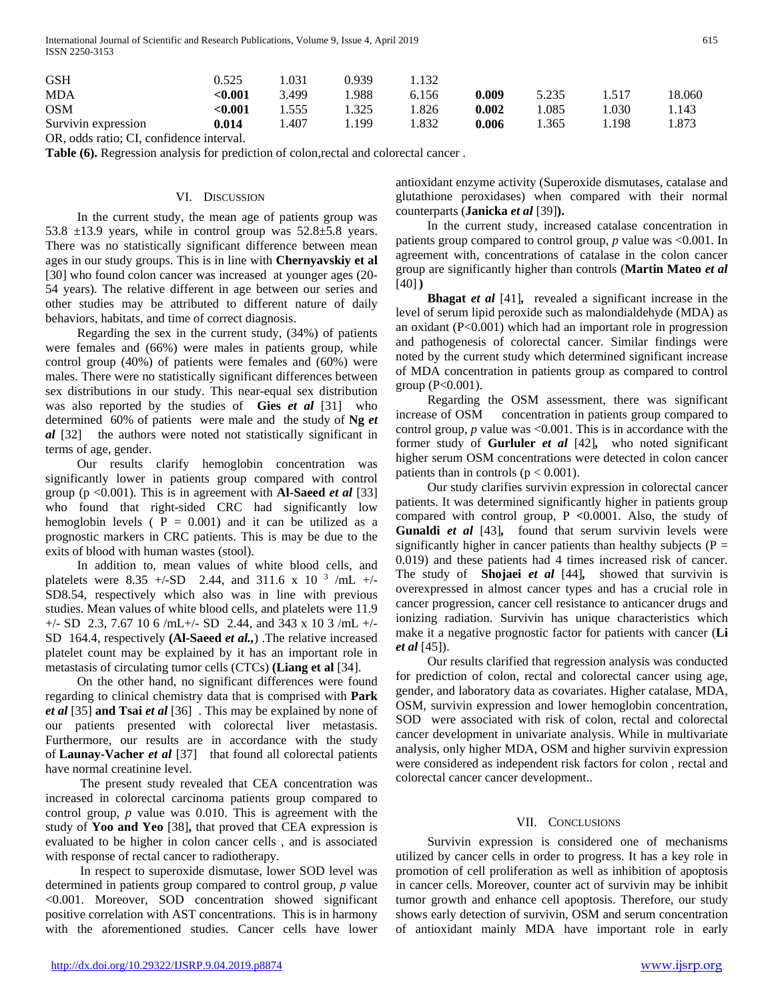International Journal of Scientific and Research Publications, Volume 9, Issue 4, April 2019 615 ISSN 2250-3153

| <b>GSH</b>          | 0.525  | 1.031 | 0.939 | 1.132 |       |       |       |        |
|---------------------|--------|-------|-------|-------|-------|-------|-------|--------|
| <b>MDA</b>          | <0.001 | 3.499 | 1.988 | 6.156 | 0.009 | 5.235 | 1.517 | 18.060 |
| <b>OSM</b>          | <0.001 | 1.555 | 1.325 | 1.826 | 0.002 | 1.085 | 1.030 | 1.143  |
| Survivin expression | 0.014  | 1.407 | 1.199 | 1.832 | 0.006 | 1.365 | 1.198 | 1.873  |

OR, odds ratio; CI, confidence interval.

**Table (6).** Regression analysis for prediction of colon,rectal and colorectal cancer .

## VI. DISCUSSION

 In the current study, the mean age of patients group was 53.8  $\pm$ 13.9 years, while in control group was 52.8 $\pm$ 5.8 years. There was no statistically significant difference between mean ages in our study groups. This is in line with **Chernyavskiy et al**  [30] who found colon cancer was increased at younger ages (20- 54 years). The relative different in age between our series and other studies may be attributed to different nature of daily behaviors, habitats, and time of correct diagnosis.

 Regarding the sex in the current study, (34%) of patients were females and (66%) were males in patients group, while control group (40%) of patients were females and (60%) were males. There were no statistically significant differences between sex distributions in our study. This near-equal sex distribution was also reported by the studies of **Gies** *et al* [31] who determined 60% of patients were male and the study of **Ng** *et al* [32] the authors were noted not statistically significant in terms of age, gender.

 Our results clarify hemoglobin concentration was significantly lower in patients group compared with control group (p <0.001). This is in agreement with **Al-Saeed** *et al* [33] who found that right-sided CRC had significantly low hemoglobin levels ( $P = 0.001$ ) and it can be utilized as a prognostic markers in CRC patients. This is may be due to the exits of blood with human wastes (stool).

 In addition to, mean values of white blood cells, and platelets were 8.35 +/-SD 2.44, and 311.6 x 10<sup>3</sup> /mL +/-SD8.54, respectively which also was in line with previous studies. Mean values of white blood cells, and platelets were 11.9  $+/-$  SD 2.3, 7.67 10 6 /mL+/- SD 2.44, and 343 x 10 3 /mL +/-SD 164.4, respectively **(Al-Saeed** *et al.,*) .The relative increased platelet count may be explained by it has an important role in metastasis of circulating tumor cells (CTCs) **(Liang et al** [34].

 On the other hand, no significant differences were found regarding to clinical chemistry data that is comprised with **Park**  *et al* [35] **and Tsai** *et al* [36]. This may be explained by none of our patients presented with colorectal liver metastasis. Furthermore, our results are in accordance with the study of **Launay-Vacher** *et al* [37] that found all colorectal patients have normal creatinine level.

 The present study revealed that CEA concentration was increased in colorectal carcinoma patients group compared to control group, *p* value was 0.010. This is agreement with the study of **Yoo and Yeo** [38]**,** that proved that CEA expression is evaluated to be higher in colon cancer cells , and is associated with response of rectal cancer to radiotherapy.

 In respect to superoxide dismutase, lower SOD level was determined in patients group compared to control group, *p* value <0.001. Moreover, SOD concentration showed significant positive correlation with AST concentrations. This is in harmony with the aforementioned studies. Cancer cells have lower

antioxidant enzyme activity (Superoxide dismutases, catalase and glutathione peroxidases) when compared with their normal counterparts (**Janicka** *et al* [39]**).**

 In the current study, increased catalase concentration in patients group compared to control group, *p* value was <0.001. In agreement with, concentrations of catalase in the colon cancer group are significantly higher than controls (**Martin Mateo** *et al*  [40]**)**

 **Bhagat** *et al* [41]*,* revealed a significant increase in the level of serum lipid peroxide such as malondialdehyde (MDA) as an oxidant (P<0.001) which had an important role in progression and pathogenesis of colorectal cancer. Similar findings were noted by the current study which determined significant increase of MDA concentration in patients group as compared to control group ( $P < 0.001$ ).

 Regarding the OSM assessment, there was significant increase of OSM concentration in patients group compared to control group, *p* value was <0.001. This is in accordance with the former study of **Gurluler** *et al* [42]*,* who noted significant higher serum OSM concentrations were detected in colon cancer patients than in controls  $(p < 0.001)$ .

 Our study clarifies survivin expression in colorectal cancer patients. It was determined significantly higher in patients group compared with control group, P **<**0.0001. Also, the study of Gunaldi *et al* [43], found that serum survivin levels were significantly higher in cancer patients than healthy subjects ( $P =$ 0.019) and these patients had 4 times increased risk of cancer. The study of **Shojaei** *et al* [44]*,* showed that survivin is overexpressed in almost cancer types and has a crucial role in cancer progression, cancer cell resistance to anticancer drugs and ionizing radiation. Survivin has unique characteristics which make it a negative prognostic factor for patients with cancer (**Li**  *et al* [45]).

 Our results clarified that regression analysis was conducted for prediction of colon, rectal and colorectal cancer using age, gender, and laboratory data as covariates. Higher catalase, MDA, OSM, survivin expression and lower hemoglobin concentration, SOD were associated with risk of colon, rectal and colorectal cancer development in univariate analysis. While in multivariate analysis, only higher MDA, OSM and higher survivin expression were considered as independent risk factors for colon , rectal and colorectal cancer cancer development..

## VII. CONCLUSIONS

 Survivin expression is considered one of mechanisms utilized by cancer cells in order to progress. It has a key role in promotion of cell proliferation as well as inhibition of apoptosis in cancer cells. Moreover, counter act of survivin may be inhibit tumor growth and enhance cell apoptosis. Therefore, our study shows early detection of survivin, OSM and serum concentration of antioxidant mainly MDA have important role in early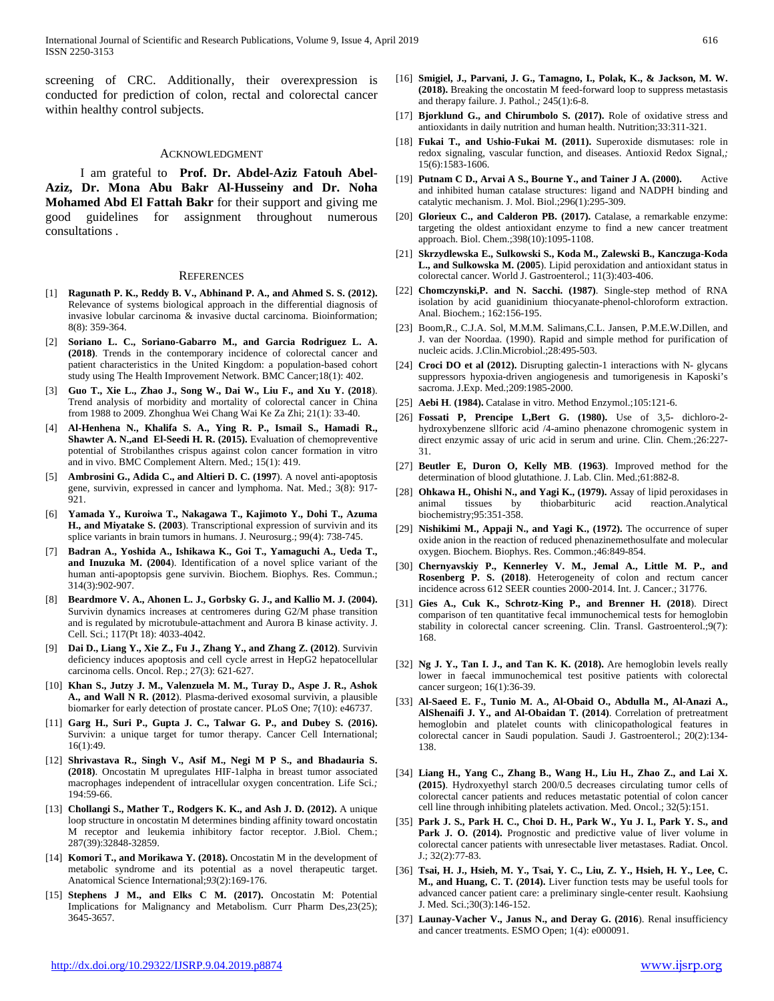screening of CRC. Additionally, their overexpression is conducted for prediction of colon, rectal and colorectal cancer within healthy control subjects.

#### ACKNOWLEDGMENT

 I am grateful to **Prof. Dr. Abdel-Aziz Fatouh Abel-Aziz, Dr. Mona Abu Bakr Al-Husseiny and Dr. Noha Mohamed Abd El Fattah Bakr** for their support and giving me good guidelines for assignment throughout numerous consultations .

#### **REFERENCES**

- [1] **Ragunath P. K., Reddy B. V., Abhinand P. A., and Ahmed S. S. (2012).** Relevance of systems biological approach in the differential diagnosis of invasive lobular carcinoma & invasive ductal carcinoma. Bioinformation; 8(8): 359-364.
- [2] **Soriano L. C., Soriano-Gabarro M., and Garcia Rodriguez L. A. (2018)**. Trends in the contemporary incidence of colorectal cancer and patient characteristics in the United Kingdom: a population-based cohort study using The Health Improvement Network. BMC Cancer;18(1): 402.
- [3] **Guo T., Xie L., Zhao J., Song W., Dai W., Liu F., and Xu Y. (2018**). Trend analysis of morbidity and mortality of colorectal cancer in China from 1988 to 2009. Zhonghua Wei Chang Wai Ke Za Zhi; 21(1): 33-40.
- [4] **Al-Henhena N., Khalifa S. A., Ying R. P., Ismail S., Hamadi R., Shawter A. N.,and El-Seedi H. R. (2015).** Evaluation of chemopreventive potential of Strobilanthes crispus against colon cancer formation in vitro and in vivo. BMC Complement Altern. Med.; 15(1): 419.
- [5] **Ambrosini G., Adida C., and Altieri D. C. (1997**). A novel anti-apoptosis gene, survivin, expressed in cancer and lymphoma. Nat. Med.; 3(8): 917- 921.
- [6] **Yamada Y., Kuroiwa T., Nakagawa T., Kajimoto Y., Dohi T., Azuma H., and Miyatake S. (2003**). Transcriptional expression of survivin and its splice variants in brain tumors in humans. J. Neurosurg.; 99(4): 738-745.
- [7] **Badran A., Yoshida A., Ishikawa K., Goi T., Yamaguchi A., Ueda T., and Inuzuka M. (2004**). Identification of a novel splice variant of the human anti-apoptopsis gene survivin. Biochem. Biophys. Res. Commun.; 314(3):902-907.
- [8] **Beardmore V. A., Ahonen L. J., Gorbsky G. J., and Kallio M. J. (2004).** Survivin dynamics increases at centromeres during G2/M phase transition and is regulated by microtubule-attachment and Aurora B kinase activity. J. Cell. Sci.; 117(Pt 18): 4033-4042.
- [9] **Dai D., Liang Y., Xie Z., Fu J., Zhang Y., and Zhang Z. (2012)**. Survivin deficiency induces apoptosis and cell cycle arrest in HepG2 hepatocellular carcinoma cells. Oncol. Rep.; 27(3): 621-627.
- [10] **Khan S., Jutzy J. M., Valenzuela M. M., Turay D., Aspe J. R., Ashok A., and Wall N R. (2012**). Plasma-derived exosomal survivin, a plausible biomarker for early detection of prostate cancer. PLoS One; 7(10): e46737.
- [11] **Garg H., Suri P., Gupta J. C., Talwar G. P., and Dubey S. (2016).** Survivin: a unique target for tumor therapy. Cancer Cell International; 16(1):49.
- [12] **Shrivastava R., Singh V., Asif M., Negi M P S., and Bhadauria S. (2018)**. Oncostatin M upregulates HIF-1alpha in breast tumor associated macrophages independent of intracellular oxygen concentration. Life Sci.*;*  194:59-66.
- [13] **Chollangi S., Mather T., Rodgers K. K., and Ash J. D. (2012).** A unique loop structure in oncostatin M determines binding affinity toward oncostatin M receptor and leukemia inhibitory factor receptor. J.Biol. Chem.; 287(39):32848-32859.
- [14] **Komori T., and Morikawa Y. (2018).** Oncostatin M in the development of metabolic syndrome and its potential as a novel therapeutic target. Anatomical Science International;*93*(2):169-176.
- [15] **Stephens J M., and Elks C M. (2017).** Oncostatin M: Potential Implications for Malignancy and Metabolism. Curr Pharm Des*,*23(25); 3645-3657.
- [16] **Smigiel, J., Parvani, J. G., Tamagno, I., Polak, K., & Jackson, M. W. (2018).** Breaking the oncostatin M feed-forward loop to suppress metastasis and therapy failure. J. Pathol.*;* 245(1):6-8.
- [17] **Bjorklund G., and Chirumbolo S. (2017).** Role of oxidative stress and antioxidants in daily nutrition and human health. Nutrition;33:311-321.
- [18] **Fukai T., and Ushio-Fukai M. (2011).** Superoxide dismutases: role in redox signaling, vascular function, and diseases. Antioxid Redox Signal*,;*  15(6):1583-1606.
- [19] **Putnam C D., Arvai A S., Bourne Y., and Tainer J A. (2000).** Active and inhibited human catalase structures: ligand and NADPH binding and catalytic mechanism. J. Mol. Biol.;296(1):295-309.
- [20] **Glorieux C., and Calderon PB. (2017).** Catalase, a remarkable enzyme: targeting the oldest antioxidant enzyme to find a new cancer treatment approach. Biol. Chem.;398(10):1095-1108.
- [21] **Skrzydlewska E., Sulkowski S., Koda M., Zalewski B., Kanczuga-Koda L., and Sulkowska M. (2005**). Lipid peroxidation and antioxidant status in colorectal cancer. World J. Gastroenterol.; 11(3):403-406.
- [22] **Chomczynski,P. and N. Sacchi. (1987)**. Single-step method of RNA isolation by acid guanidinium thiocyanate-phenol-chloroform extraction. Anal. Biochem.; 162:156-195.
- [23] Boom,R., C.J.A. Sol, M.M.M. Salimans,C.L. Jansen, P.M.E.W.Dillen, and J. van der Noordaa. (1990). Rapid and simple method for purification of nucleic acids. J.Clin.Microbiol.;28:495-503.
- [24] **Croci DO et al (2012).** Disrupting galectin-1 interactions with N- glycans suppressors hypoxia-driven angiogenesis and tumorigenesis in Kaposki's sacroma. J.Exp. Med.;209:1985-2000.
- [25] **Aebi H**. **(1984).** Catalase in vitro. Method Enzymol.;105:121-6.
- [26] **Fossati P, Prencipe L,Bert G. (1980).** Use of 3,5- dichloro-2 hydroxybenzene sllforic acid /4-amino phenazone chromogenic system in direct enzymic assay of uric acid in serum and urine. Clin. Chem.;26:227- 31.
- [27] **Beutler E, Duron O, Kelly MB**. **(1963)**. Improved method for the determination of blood glutathione. J. Lab. Clin. Med.;61:882-8.
- [28] **Ohkawa H., Ohishi N., and Yagi K., (1979).** Assay of lipid peroxidases in animal tissues by thiobarbituric acid reaction.Analytical biochemistry;95:351-358.
- [29] **Nishikimi M., Appaji N., and Yagi K., (1972).** The occurrence of super oxide anion in the reaction of reduced phenazinemethosulfate and molecular oxygen. Biochem. Biophys. Res. Common.;46:849-854.
- [30] **Chernyavskiy P., Kennerley V. M., Jemal A., Little M. P., and Rosenberg P. S. (2018)**. Heterogeneity of colon and rectum cancer incidence across 612 SEER counties 2000-2014. Int. J. Cancer.; 31776.
- [31] **Gies A., Cuk K., Schrotz-King P., and Brenner H. (2018**). Direct comparison of ten quantitative fecal immunochemical tests for hemoglobin stability in colorectal cancer screening. Clin. Transl. Gastroenterol.;9(7): 168.
- [32] **Ng J. Y., Tan I. J., and Tan K. K. (2018).** Are hemoglobin levels really lower in faecal immunochemical test positive patients with colorectal cancer surgeon; 16(1):36-39.
- [33] **Al-Saeed E. F., Tunio M. A., Al-Obaid O., Abdulla M., Al-Anazi A., AlShenaifi J. Y., and Al-Obaidan T. (2014)**. Correlation of pretreatment hemoglobin and platelet counts with clinicopathological features in colorectal cancer in Saudi population. Saudi J. Gastroenterol.; 20(2):134- 138.
- [34] **Liang H., Yang C., Zhang B., Wang H., Liu H., Zhao Z., and Lai X. (2015)**. Hydroxyethyl starch 200/0.5 decreases circulating tumor cells of colorectal cancer patients and reduces metastatic potential of colon cancer cell line through inhibiting platelets activation. Med. Oncol.; 32(5):151.
- [35] **Park J. S., Park H. C., Choi D. H., Park W., Yu J. I., Park Y. S., and**  Park J. O. (2014). Prognostic and predictive value of liver volume in colorectal cancer patients with unresectable liver metastases. Radiat. Oncol. J.; 32(2):77-83.
- [36] **Tsai, H. J., Hsieh, M. Y., Tsai, Y. C., Liu, Z. Y., Hsieh, H. Y., Lee, C. M., and Huang, C. T. (2014).** Liver function tests may be useful tools for advanced cancer patient care: a preliminary single-center result. Kaohsiung J. Med. Sci.;30(3):146-152.
- [37] **Launay-Vacher V., Janus N., and Deray G. (2016**). Renal insufficiency and cancer treatments. ESMO Open; 1(4): e000091.